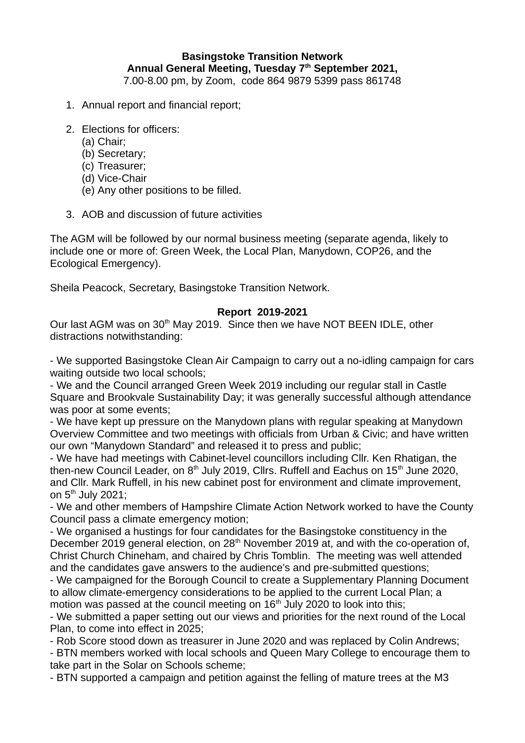## **Basingstoke Transition Network Annual General Meeting, Tuesday 7th September 2021,**  7.00-8.00 pm, by Zoom, code 864 9879 5399 pass 861748

- 1. Annual report and financial report;
- 2. Elections for officers:
	- (a) Chair;
	- (b) Secretary;
	- (c) Treasurer;
	- (d) Vice-Chair
	- (e) Any other positions to be filled.
- 3. AOB and discussion of future activities

The AGM will be followed by our normal business meeting (separate agenda, likely to include one or more of: Green Week, the Local Plan, Manydown, COP26, and the Ecological Emergency).

Sheila Peacock, Secretary, Basingstoke Transition Network.

## **Report 2019-2021**

Our last AGM was on 30<sup>th</sup> May 2019. Since then we have NOT BEEN IDLE, other distractions notwithstanding:

- We supported Basingstoke Clean Air Campaign to carry out a no-idling campaign for cars waiting outside two local schools:

- We and the Council arranged Green Week 2019 including our regular stall in Castle Square and Brookvale Sustainability Day; it was generally successful although attendance was poor at some events;

- We have kept up pressure on the Manydown plans with regular speaking at Manydown Overview Committee and two meetings with officials from Urban & Civic; and have written our own "Manydown Standard" and released it to press and public;

- We have had meetings with Cabinet-level councillors including Cllr. Ken Rhatigan, the then-new Council Leader, on  $8<sup>th</sup>$  July 2019, Cllrs. Ruffell and Eachus on  $15<sup>th</sup>$  June 2020, and Cllr. Mark Ruffell, in his new cabinet post for environment and climate improvement, on  $5<sup>th</sup>$  July 2021;

- We and other members of Hampshire Climate Action Network worked to have the County Council pass a climate emergency motion;

- We organised a hustings for four candidates for the Basingstoke constituency in the December 2019 general election, on 28<sup>th</sup> November 2019 at, and with the co-operation of, Christ Church Chineham, and chaired by Chris Tomblin. The meeting was well attended and the candidates gave answers to the audience's and pre-submitted questions;

- We campaigned for the Borough Council to create a Supplementary Planning Document to allow climate-emergency considerations to be applied to the current Local Plan; a motion was passed at the council meeting on  $16<sup>th</sup>$  July 2020 to look into this;

- We submitted a paper setting out our views and priorities for the next round of the Local Plan, to come into effect in 2025;

- Rob Score stood down as treasurer in June 2020 and was replaced by Colin Andrews;

- BTN members worked with local schools and Queen Mary College to encourage them to take part in the Solar on Schools scheme;

- BTN supported a campaign and petition against the felling of mature trees at the M3